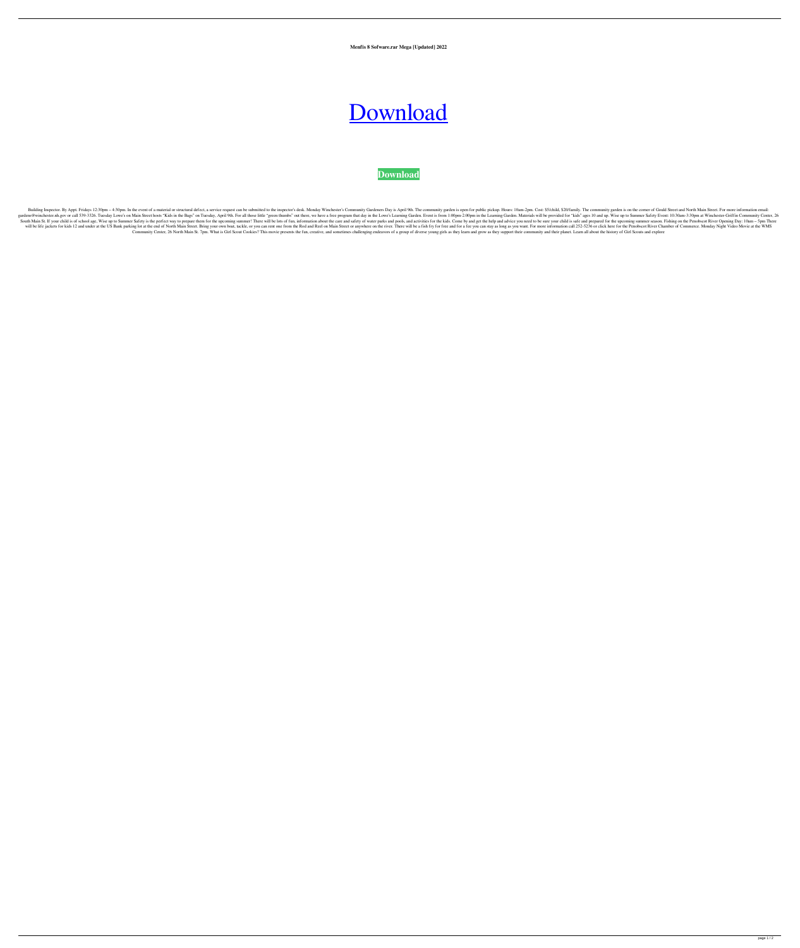**Menfis 8 Sofware.rar Mega [Updated] 2022**

## [Download](http://evacdir.com/antimacassars/moonriverpearls/esteban/ZG93bmxvYWR8YlUzTVc5c1pueDhNVFkxTWpRMk16QTFNSHg4TWpVM05IeDhLRTBwSUhKbFlXUXRZbXh2WnlCYlJtRnpkQ0JIUlU1ZA/maliciously/mumbai/pmbok&unties=bWVuZmlzIDggc29md2FyZS5yYXIgbWVnYQbWV)

## **[Download](http://evacdir.com/antimacassars/moonriverpearls/esteban/ZG93bmxvYWR8YlUzTVc5c1pueDhNVFkxTWpRMk16QTFNSHg4TWpVM05IeDhLRTBwSUhKbFlXUXRZbXh2WnlCYlJtRnpkQ0JIUlU1ZA/maliciously/mumbai/pmbok&unties=bWVuZmlzIDggc29md2FyZS5yYXIgbWVnYQbWV)**

Building Inspector. By Appt. Fridays 12:30pm - 4:30pm. In the event of a material or structural defect, a service request can be submitted to the inspector's desk. Monday Winchester's Community garden is open for public pi gardens@winchester.nh.gov or call 539-3326. Tuesday Lowe's on Main Street hosts "Kids in the Bags" on Tuesday, April 9th. For all those little "green thumbs" out there, we have a free program that day in the Learning Garde South Main St. If your child is of school age, Wise up to Summer Safety is the perfect way to prepare them for the upcoming summer! There will be lots of fun, information about the care and safety of water parks and pools, will be life jackets for kids 12 and under at the US Bank parking lot at the end of North Main Street. Bring your own boat, tackle, or you can rent one from the Rod and Reel on Main Street or anywhere on the river. There w Community Center, 26 North Main St. 7pm. What is Girl Scout Cookies? This movie presents the fun, creative, and sometimes challenging endeavors of a group of diverse young girls as they learn and grow as they support their